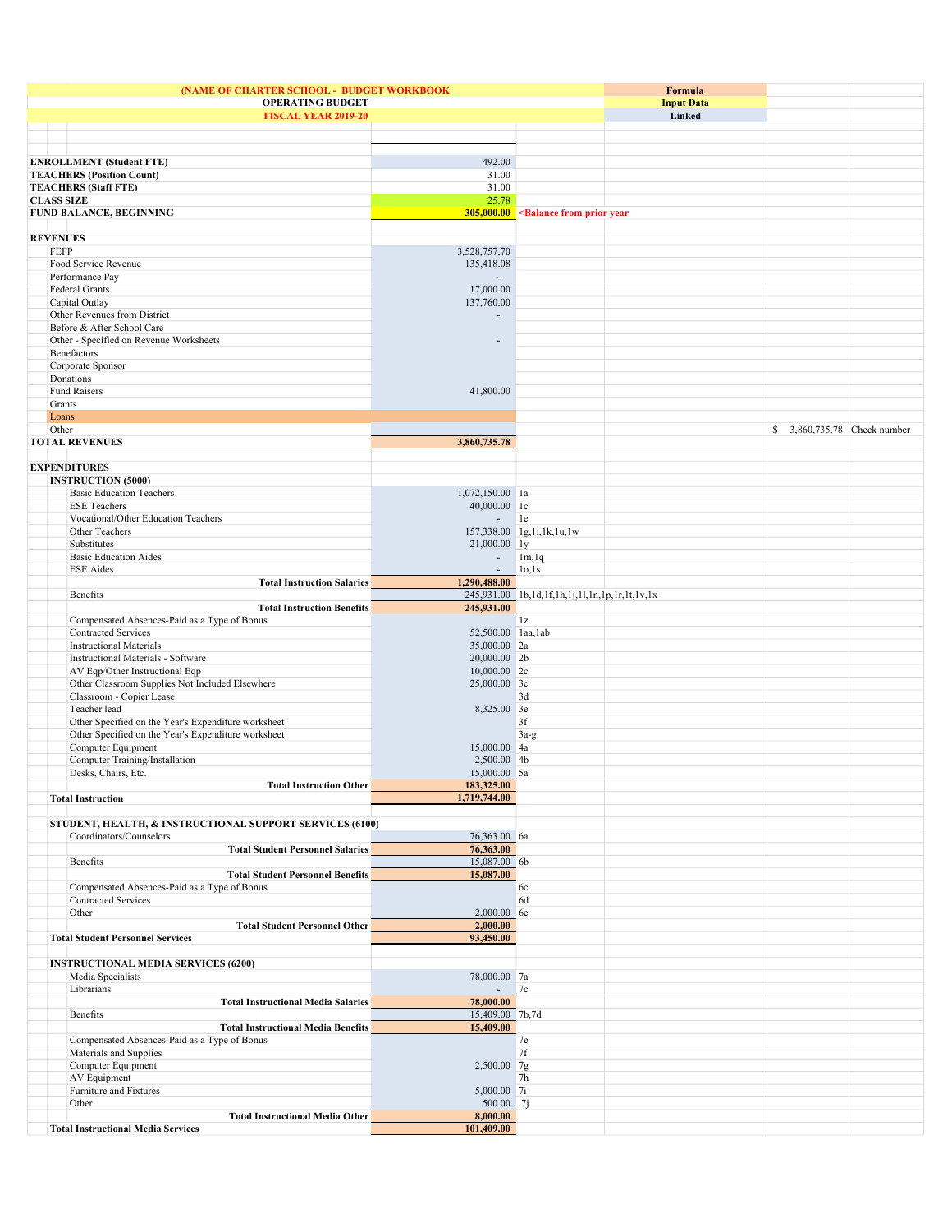| (NAME OF CHARTER SCHOOL - BUDGET WORKBOOK                       |                              |                                                                                   |                          | Formula                                                                                   |                   |                              |  |
|-----------------------------------------------------------------|------------------------------|-----------------------------------------------------------------------------------|--------------------------|-------------------------------------------------------------------------------------------|-------------------|------------------------------|--|
|                                                                 |                              | <b>OPERATING BUDGET</b>                                                           |                          |                                                                                           | <b>Input Data</b> |                              |  |
| <b>FISCAL YEAR 2019-20</b>                                      |                              |                                                                                   |                          |                                                                                           | Linked            |                              |  |
|                                                                 |                              |                                                                                   |                          |                                                                                           |                   |                              |  |
|                                                                 |                              |                                                                                   |                          |                                                                                           |                   |                              |  |
|                                                                 |                              |                                                                                   |                          |                                                                                           |                   |                              |  |
|                                                                 |                              | <b>ENROLLMENT</b> (Student FTE)                                                   | 492.00                   |                                                                                           |                   |                              |  |
| <b>TEACHERS (Position Count)</b><br><b>TEACHERS (Staff FTE)</b> |                              |                                                                                   | 31.00                    |                                                                                           |                   |                              |  |
|                                                                 |                              |                                                                                   | 31.00                    |                                                                                           |                   |                              |  |
| <b>CLASS SIZE</b>                                               |                              | <b>FUND BALANCE, BEGINNING</b>                                                    | 25.78                    |                                                                                           |                   |                              |  |
|                                                                 |                              |                                                                                   |                          | 305,000.00 <balance from="" prior="" th="" year<=""><th></th><th></th><th></th></balance> |                   |                              |  |
| <b>REVENUES</b>                                                 |                              |                                                                                   |                          |                                                                                           |                   |                              |  |
|                                                                 | <b>FEFP</b>                  |                                                                                   | 3,528,757.70             |                                                                                           |                   |                              |  |
|                                                                 |                              | Food Service Revenue                                                              | 135,418.08               |                                                                                           |                   |                              |  |
|                                                                 |                              | Performance Pay                                                                   |                          |                                                                                           |                   |                              |  |
|                                                                 |                              | Federal Grants                                                                    | 17,000.00                |                                                                                           |                   |                              |  |
|                                                                 |                              | Capital Outlay                                                                    | 137,760.00               |                                                                                           |                   |                              |  |
|                                                                 | Other Revenues from District |                                                                                   |                          |                                                                                           |                   |                              |  |
|                                                                 |                              | Before & After School Care                                                        |                          |                                                                                           |                   |                              |  |
|                                                                 |                              | Other - Specified on Revenue Worksheets                                           | $\overline{\phantom{a}}$ |                                                                                           |                   |                              |  |
|                                                                 | Benefactors                  |                                                                                   |                          |                                                                                           |                   |                              |  |
|                                                                 |                              | Corporate Sponsor                                                                 |                          |                                                                                           |                   |                              |  |
|                                                                 |                              | Donations                                                                         |                          |                                                                                           |                   |                              |  |
|                                                                 |                              | <b>Fund Raisers</b>                                                               | 41,800.00                |                                                                                           |                   |                              |  |
|                                                                 | Grants                       |                                                                                   |                          |                                                                                           |                   |                              |  |
|                                                                 | Loans                        |                                                                                   |                          |                                                                                           |                   |                              |  |
|                                                                 | Other                        |                                                                                   |                          |                                                                                           |                   | \$ 3,860,735.78 Check number |  |
|                                                                 |                              | <b>TOTAL REVENUES</b>                                                             | 3,860,735.78             |                                                                                           |                   |                              |  |
|                                                                 |                              |                                                                                   |                          |                                                                                           |                   |                              |  |
|                                                                 |                              | <b>EXPENDITURES</b>                                                               |                          |                                                                                           |                   |                              |  |
|                                                                 |                              | <b>INSTRUCTION (5000)</b>                                                         |                          |                                                                                           |                   |                              |  |
|                                                                 |                              | <b>Basic Education Teachers</b>                                                   | 1,072,150.00 la          |                                                                                           |                   |                              |  |
|                                                                 |                              | <b>ESE Teachers</b>                                                               | 40,000.00 lc             |                                                                                           |                   |                              |  |
|                                                                 |                              | Vocational/Other Education Teachers                                               | $-$ 1e                   |                                                                                           |                   |                              |  |
|                                                                 |                              | Other Teachers                                                                    |                          | 157,338.00 1g,1i,1k,1u,1w                                                                 |                   |                              |  |
|                                                                 |                              | Substitutes                                                                       | 21,000.00 ly             |                                                                                           |                   |                              |  |
|                                                                 |                              | <b>Basic Education Aides</b>                                                      | $\overline{\phantom{a}}$ | 1m, 1q                                                                                    |                   |                              |  |
|                                                                 |                              | <b>ESE</b> Aides                                                                  | $\sim$                   | 10,1s                                                                                     |                   |                              |  |
|                                                                 |                              | <b>Total Instruction Salaries</b>                                                 | 1,290,488.00             |                                                                                           |                   |                              |  |
|                                                                 |                              | Benefits                                                                          | 245,931.00               | 245,931.00 1b,1d,1f,1h,1j,1l,1n,1p,1r,1t,1v,1x                                            |                   |                              |  |
|                                                                 |                              | <b>Total Instruction Benefits</b><br>Compensated Absences-Paid as a Type of Bonus |                          | 1z                                                                                        |                   |                              |  |
|                                                                 |                              | <b>Contracted Services</b>                                                        | 52,500.00 laa, lab       |                                                                                           |                   |                              |  |
|                                                                 |                              | <b>Instructional Materials</b>                                                    | 35,000.00 2a             |                                                                                           |                   |                              |  |
|                                                                 |                              | Instructional Materials - Software                                                | 20,000.00 2b             |                                                                                           |                   |                              |  |
|                                                                 |                              | AV Eqp/Other Instructional Eqp                                                    | 10,000.00 2c             |                                                                                           |                   |                              |  |
|                                                                 |                              | Other Classroom Supplies Not Included Elsewhere                                   | 25,000.00 3c             |                                                                                           |                   |                              |  |
|                                                                 |                              | Classroom - Copier Lease                                                          |                          | 3d                                                                                        |                   |                              |  |
|                                                                 |                              | Teacher lead                                                                      | 8,325.00 3e              |                                                                                           |                   |                              |  |
|                                                                 |                              | Other Specified on the Year's Expenditure worksheet                               |                          | 3f                                                                                        |                   |                              |  |
|                                                                 |                              | Other Specified on the Year's Expenditure worksheet                               |                          | $3a-g$                                                                                    |                   |                              |  |
|                                                                 |                              | Computer Equipment                                                                | 15,000.00 4a             |                                                                                           |                   |                              |  |
|                                                                 |                              | Computer Training/Installation                                                    | 2,500.00 4b              |                                                                                           |                   |                              |  |
|                                                                 |                              | Desks, Chairs, Etc.                                                               | 15,000.00 5a             |                                                                                           |                   |                              |  |
|                                                                 |                              | <b>Total Instruction Other</b>                                                    | 183,325.00               |                                                                                           |                   |                              |  |
|                                                                 |                              | <b>Total Instruction</b>                                                          | 1,719,744.00             |                                                                                           |                   |                              |  |
|                                                                 |                              |                                                                                   |                          |                                                                                           |                   |                              |  |
|                                                                 |                              | STUDENT, HEALTH, & INSTRUCTIONAL SUPPORT SERVICES (6100)                          |                          |                                                                                           |                   |                              |  |
|                                                                 |                              | Coordinators/Counselors                                                           | 76,363.00 6a             |                                                                                           |                   |                              |  |
|                                                                 |                              | <b>Total Student Personnel Salaries</b>                                           | 76,363.00                |                                                                                           |                   |                              |  |
|                                                                 |                              | Benefits                                                                          | 15,087.00 6b             |                                                                                           |                   |                              |  |
|                                                                 |                              | <b>Total Student Personnel Benefits</b>                                           | 15,087.00                |                                                                                           |                   |                              |  |
|                                                                 |                              | Compensated Absences-Paid as a Type of Bonus                                      |                          | 6c                                                                                        |                   |                              |  |
|                                                                 |                              | <b>Contracted Services</b>                                                        |                          | 6d                                                                                        |                   |                              |  |
|                                                                 |                              | Other<br><b>Total Student Personnel Other</b>                                     | 2,000.00 6e<br>2,000.00  |                                                                                           |                   |                              |  |
|                                                                 |                              | <b>Total Student Personnel Services</b>                                           | 93,450.00                |                                                                                           |                   |                              |  |
|                                                                 |                              |                                                                                   |                          |                                                                                           |                   |                              |  |
|                                                                 |                              | <b>INSTRUCTIONAL MEDIA SERVICES (6200)</b>                                        |                          |                                                                                           |                   |                              |  |
|                                                                 |                              | Media Specialists                                                                 | 78,000.00 7a             |                                                                                           |                   |                              |  |
|                                                                 |                              | Librarians                                                                        |                          | 7c                                                                                        |                   |                              |  |
|                                                                 |                              | <b>Total Instructional Media Salaries</b>                                         | 78,000.00                |                                                                                           |                   |                              |  |
|                                                                 |                              | Benefits                                                                          | 15,409.00 7b,7d          |                                                                                           |                   |                              |  |
|                                                                 |                              | <b>Total Instructional Media Benefits</b>                                         | 15,409.00                |                                                                                           |                   |                              |  |
|                                                                 |                              | Compensated Absences-Paid as a Type of Bonus                                      |                          | 7e                                                                                        |                   |                              |  |
|                                                                 |                              | Materials and Supplies                                                            |                          | 7f                                                                                        |                   |                              |  |
|                                                                 |                              | Computer Equipment                                                                | 2,500.00 7g              |                                                                                           |                   |                              |  |
|                                                                 |                              | AV Equipment                                                                      |                          | 7 <sub>h</sub>                                                                            |                   |                              |  |
|                                                                 |                              | Furniture and Fixtures                                                            | 5,000.00 7i              |                                                                                           |                   |                              |  |
|                                                                 |                              | Other                                                                             | 500.00 7j                |                                                                                           |                   |                              |  |
|                                                                 |                              | <b>Total Instructional Media Other</b>                                            | 8,000.00                 |                                                                                           |                   |                              |  |
|                                                                 |                              | <b>Total Instructional Media Services</b>                                         | 101,409.00               |                                                                                           |                   |                              |  |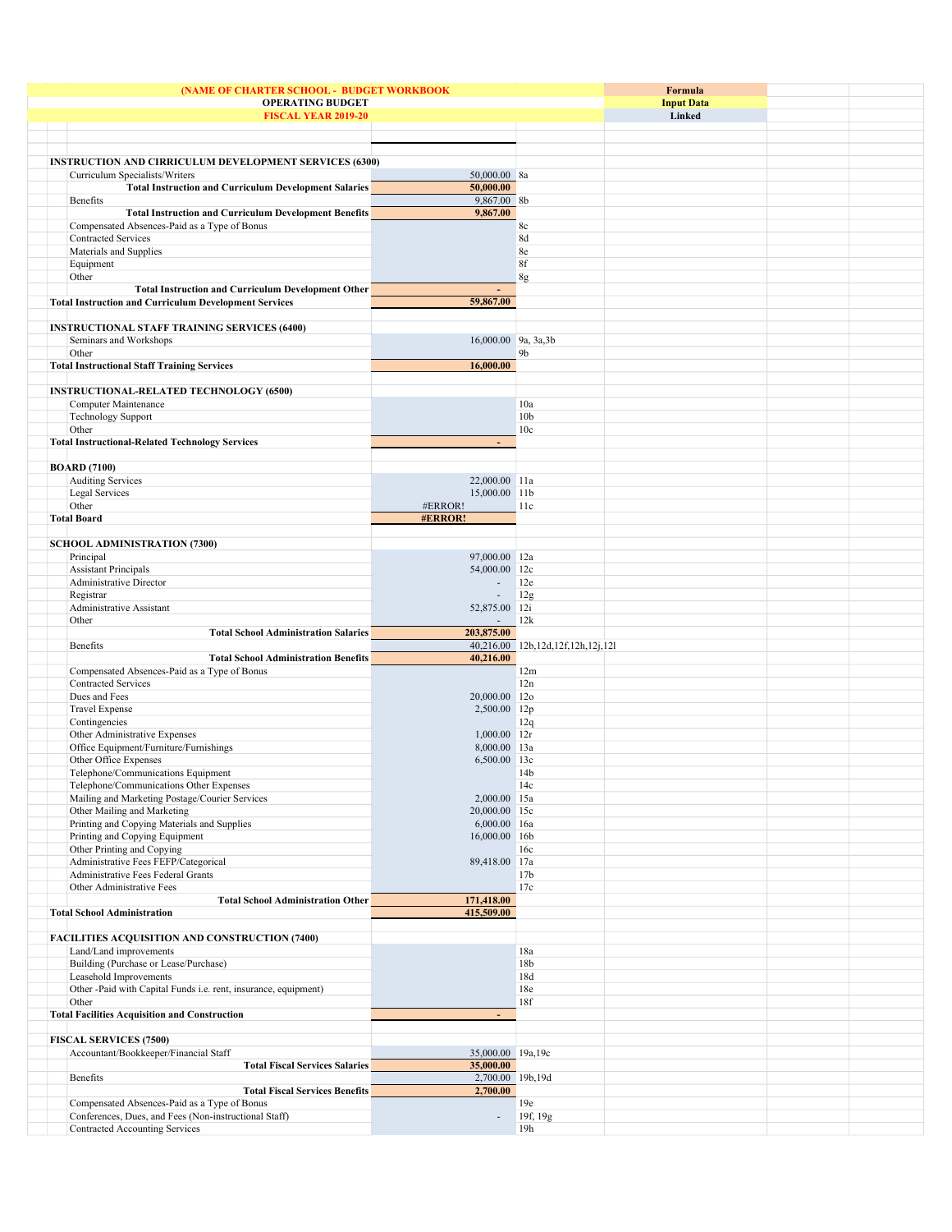|                                                                 |                          |                                   | Formula           |  |
|-----------------------------------------------------------------|--------------------------|-----------------------------------|-------------------|--|
| (NAME OF CHARTER SCHOOL - BUDGET WORKBOOK                       |                          |                                   | <b>Input Data</b> |  |
| <b>OPERATING BUDGET</b>                                         |                          |                                   | Linked            |  |
| <b>FISCAL YEAR 2019-20</b>                                      |                          |                                   |                   |  |
|                                                                 |                          |                                   |                   |  |
|                                                                 |                          |                                   |                   |  |
|                                                                 |                          |                                   |                   |  |
| <b>INSTRUCTION AND CIRRICULUM DEVELOPMENT SERVICES (6300)</b>   |                          |                                   |                   |  |
| Curriculum Specialists/Writers                                  | 50,000.00 8a             |                                   |                   |  |
| <b>Total Instruction and Curriculum Development Salaries</b>    | 50,000.00                |                                   |                   |  |
| Benefits                                                        | 9,867.00 8b              |                                   |                   |  |
| <b>Total Instruction and Curriculum Development Benefits</b>    | 9,867.00                 |                                   |                   |  |
| Compensated Absences-Paid as a Type of Bonus                    |                          | 8c                                |                   |  |
| <b>Contracted Services</b>                                      |                          | 8d                                |                   |  |
| Materials and Supplies                                          |                          | 8e                                |                   |  |
|                                                                 |                          |                                   |                   |  |
| Equipment                                                       |                          | 8f                                |                   |  |
| Other                                                           |                          | 8g                                |                   |  |
| <b>Total Instruction and Curriculum Development Other</b>       | $\overline{\phantom{a}}$ |                                   |                   |  |
| <b>Total Instruction and Curriculum Development Services</b>    | 59,867.00                |                                   |                   |  |
|                                                                 |                          |                                   |                   |  |
| <b>INSTRUCTIONAL STAFF TRAINING SERVICES (6400)</b>             |                          |                                   |                   |  |
| Seminars and Workshops                                          | 16,000.00 9a, 3a, 3b     |                                   |                   |  |
| Other                                                           |                          | 9b                                |                   |  |
|                                                                 | 16,000.00                |                                   |                   |  |
| <b>Total Instructional Staff Training Services</b>              |                          |                                   |                   |  |
|                                                                 |                          |                                   |                   |  |
| <b>INSTRUCTIONAL-RELATED TECHNOLOGY (6500)</b>                  |                          |                                   |                   |  |
| Computer Maintenance                                            |                          | 10a                               |                   |  |
| <b>Technology Support</b>                                       |                          | 10 <sub>b</sub>                   |                   |  |
| Other                                                           |                          | 10 <sub>c</sub>                   |                   |  |
| <b>Total Instructional-Related Technology Services</b>          |                          |                                   |                   |  |
|                                                                 |                          |                                   |                   |  |
|                                                                 |                          |                                   |                   |  |
| <b>BOARD</b> (7100)                                             |                          |                                   |                   |  |
| <b>Auditing Services</b>                                        | 22,000.00 11a            |                                   |                   |  |
| Legal Services                                                  | 15,000.00 11b            |                                   |                   |  |
| Other                                                           | #ERROR!                  | 11c                               |                   |  |
| <b>Total Board</b>                                              | #ERROR!                  |                                   |                   |  |
|                                                                 |                          |                                   |                   |  |
| <b>SCHOOL ADMINISTRATION (7300)</b>                             |                          |                                   |                   |  |
| Principal                                                       | 97,000.00 12a            |                                   |                   |  |
| <b>Assistant Principals</b>                                     | 54,000.00 12c            |                                   |                   |  |
|                                                                 |                          |                                   |                   |  |
| Administrative Director                                         | $\overline{\phantom{a}}$ | 12e                               |                   |  |
| Registrar                                                       | $\overline{\phantom{a}}$ | 12g                               |                   |  |
| Administrative Assistant                                        | 52,875.00 12i            |                                   |                   |  |
| Other                                                           | $\sim$                   | 12k                               |                   |  |
| <b>Total School Administration Salaries</b>                     | 203,875.00               |                                   |                   |  |
| Benefits                                                        |                          | 40,216.00 12b,12d,12f,12h,12j,12l |                   |  |
| <b>Total School Administration Benefits</b>                     | 40,216.00                |                                   |                   |  |
| Compensated Absences-Paid as a Type of Bonus                    |                          | 12m                               |                   |  |
| Contracted Services                                             |                          | 12n                               |                   |  |
|                                                                 |                          |                                   |                   |  |
| Dues and Fees                                                   | 20,000.00 12o            |                                   |                   |  |
| <b>Travel Expense</b>                                           | 2,500.00 12p             |                                   |                   |  |
| Contingencies                                                   |                          | 12q                               |                   |  |
| Other Administrative Expenses                                   | 1,000.00 12r             |                                   |                   |  |
| Office Equipment/Furniture/Furnishings                          | 8,000.00 13a             |                                   |                   |  |
| Other Office Expenses                                           | 6,500.00 13c             |                                   |                   |  |
| Telephone/Communications Equipment                              |                          | 14 <sub>b</sub>                   |                   |  |
| Telephone/Communications Other Expenses                         |                          | 14c                               |                   |  |
|                                                                 |                          |                                   |                   |  |
| Mailing and Marketing Postage/Courier Services                  | 2,000.00 15a             |                                   |                   |  |
| Other Mailing and Marketing                                     | 20,000.00 15c            |                                   |                   |  |
| Printing and Copying Materials and Supplies                     | 6,000.00 16a             |                                   |                   |  |
| Printing and Copying Equipment                                  | 16,000.00 16b            |                                   |                   |  |
| Other Printing and Copying                                      |                          | 16c                               |                   |  |
| Administrative Fees FEFP/Categorical                            | 89,418.00 17a            |                                   |                   |  |
| Administrative Fees Federal Grants                              |                          | 17 <sub>b</sub>                   |                   |  |
| Other Administrative Fees                                       |                          | 17c                               |                   |  |
| <b>Total School Administration Other</b>                        | 171,418.00               |                                   |                   |  |
| <b>Total School Administration</b>                              | 415,509.00               |                                   |                   |  |
|                                                                 |                          |                                   |                   |  |
|                                                                 |                          |                                   |                   |  |
| <b>FACILITIES ACQUISITION AND CONSTRUCTION (7400)</b>           |                          |                                   |                   |  |
| Land/Land improvements                                          |                          | 18a                               |                   |  |
| Building (Purchase or Lease/Purchase)                           |                          | 18 <sub>b</sub>                   |                   |  |
| Leasehold Improvements                                          |                          | 18d                               |                   |  |
| Other -Paid with Capital Funds i.e. rent, insurance, equipment) |                          | 18e                               |                   |  |
| Other                                                           |                          | 18f                               |                   |  |
| <b>Total Facilities Acquisition and Construction</b>            | ÷.                       |                                   |                   |  |
|                                                                 |                          |                                   |                   |  |
|                                                                 |                          |                                   |                   |  |
| <b>FISCAL SERVICES (7500)</b>                                   |                          |                                   |                   |  |
| Accountant/Bookkeeper/Financial Staff                           | 35,000.00 19a,19c        |                                   |                   |  |
| <b>Total Fiscal Services Salaries</b>                           | 35,000.00                |                                   |                   |  |
| Benefits                                                        | 2,700.00 19b,19d         |                                   |                   |  |
| <b>Total Fiscal Services Benefits</b>                           | 2,700.00                 |                                   |                   |  |
| Compensated Absences-Paid as a Type of Bonus                    |                          | 19e                               |                   |  |
| Conferences, Dues, and Fees (Non-instructional Staff)           | $\overline{a}$           | 19f, 19g                          |                   |  |
|                                                                 |                          |                                   |                   |  |
| Contracted Accounting Services                                  |                          | 19h                               |                   |  |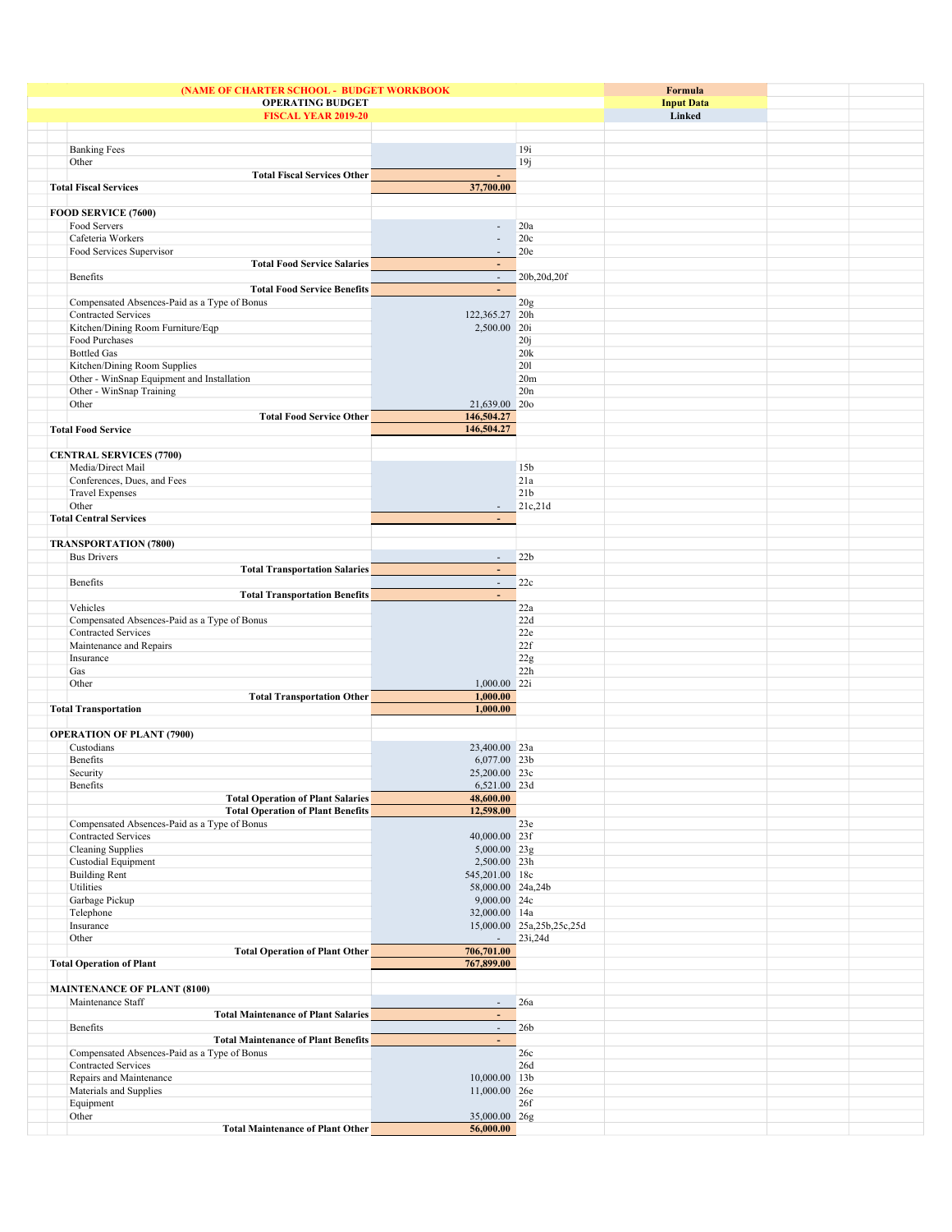| (NAME OF CHARTER SCHOOL - BUDGET WORKBOOK                                  | Formula                  |                           |                   |  |
|----------------------------------------------------------------------------|--------------------------|---------------------------|-------------------|--|
| <b>OPERATING BUDGET</b>                                                    |                          |                           | <b>Input Data</b> |  |
| <b>FISCAL YEAR 2019-20</b>                                                 |                          |                           | Linked            |  |
|                                                                            |                          |                           |                   |  |
|                                                                            |                          | 19i                       |                   |  |
| <b>Banking Fees</b>                                                        |                          |                           |                   |  |
| Other<br><b>Total Fiscal Services Other</b>                                | $\blacksquare$           | 19j                       |                   |  |
| <b>Total Fiscal Services</b>                                               | 37,700.00                |                           |                   |  |
|                                                                            |                          |                           |                   |  |
| FOOD SERVICE (7600)                                                        |                          |                           |                   |  |
| Food Servers                                                               | $\overline{\phantom{a}}$ | 20a                       |                   |  |
| Cafeteria Workers                                                          | $\overline{\phantom{a}}$ | 20c                       |                   |  |
| Food Services Supervisor                                                   |                          | 20e                       |                   |  |
| <b>Total Food Service Salaries</b>                                         | $\blacksquare$           |                           |                   |  |
| Benefits                                                                   | $\overline{\phantom{a}}$ | 20b,20d,20f               |                   |  |
| <b>Total Food Service Benefits</b>                                         | $\blacksquare$           |                           |                   |  |
| Compensated Absences-Paid as a Type of Bonus                               |                          | 20g                       |                   |  |
| Contracted Services                                                        | 122,365.27 20h           |                           |                   |  |
| Kitchen/Dining Room Furniture/Eqp                                          | 2,500.00 20i             |                           |                   |  |
| Food Purchases                                                             |                          | 20j                       |                   |  |
| <b>Bottled Gas</b>                                                         |                          | 20k                       |                   |  |
| Kitchen/Dining Room Supplies                                               |                          | 201                       |                   |  |
| Other - WinSnap Equipment and Installation                                 |                          | 20m                       |                   |  |
| Other - WinSnap Training                                                   |                          | 20n                       |                   |  |
| Other                                                                      | 21,639.00 20o            |                           |                   |  |
| <b>Total Food Service Other</b>                                            | 146,504.27               |                           |                   |  |
| <b>Total Food Service</b>                                                  | 146,504.27               |                           |                   |  |
|                                                                            |                          |                           |                   |  |
| <b>CENTRAL SERVICES (7700)</b>                                             |                          |                           |                   |  |
| Media/Direct Mail                                                          |                          | 15 <sub>b</sub>           |                   |  |
| Conferences, Dues, and Fees                                                |                          | 21a<br>21 <sub>b</sub>    |                   |  |
| <b>Travel Expenses</b><br>Other                                            | $\overline{\phantom{a}}$ | 21c,21d                   |                   |  |
| <b>Total Central Services</b>                                              | $\overline{\phantom{a}}$ |                           |                   |  |
|                                                                            |                          |                           |                   |  |
| <b>TRANSPORTATION (7800)</b>                                               |                          |                           |                   |  |
| <b>Bus Drivers</b>                                                         | $\sim$                   | 22b                       |                   |  |
| <b>Total Transportation Salaries</b>                                       | $\blacksquare$           |                           |                   |  |
| Benefits                                                                   | $\mathcal{L}$            | 22c                       |                   |  |
| <b>Total Transportation Benefits</b>                                       | ÷.                       |                           |                   |  |
| Vehicles                                                                   |                          | 22a                       |                   |  |
| Compensated Absences-Paid as a Type of Bonus                               |                          | 22d                       |                   |  |
| Contracted Services                                                        |                          | 22e                       |                   |  |
| Maintenance and Repairs                                                    |                          | 22f                       |                   |  |
| Insurance                                                                  |                          | 22g                       |                   |  |
| Gas                                                                        |                          | 22h                       |                   |  |
| Other                                                                      | 1,000.00 22i             |                           |                   |  |
| <b>Total Transportation Other</b>                                          | 1,000.00                 |                           |                   |  |
| <b>Total Transportation</b>                                                | 1,000.00                 |                           |                   |  |
|                                                                            |                          |                           |                   |  |
| <b>OPERATION OF PLANT (7900)</b>                                           |                          |                           |                   |  |
| Custodians                                                                 | 23,400.00 23a            |                           |                   |  |
| Benefits                                                                   | 6,077.00 23b             |                           |                   |  |
| Security                                                                   | 25,200.00 23c            |                           |                   |  |
| Benefits                                                                   | 6,521.00 23d             |                           |                   |  |
| <b>Total Operation of Plant Salaries</b>                                   | 48,600.00                |                           |                   |  |
| <b>Total Operation of Plant Benefits</b>                                   | 12,598.00                |                           |                   |  |
| Compensated Absences-Paid as a Type of Bonus<br><b>Contracted Services</b> | 40,000.00 23f            | 23e                       |                   |  |
| Cleaning Supplies                                                          | 5,000.00 23g             |                           |                   |  |
| Custodial Equipment                                                        | 2,500.00 23h             |                           |                   |  |
| <b>Building Rent</b>                                                       | 545,201.00 18c           |                           |                   |  |
| Utilities                                                                  | 58,000.00 24a,24b        |                           |                   |  |
| Garbage Pickup                                                             | 9,000.00 24c             |                           |                   |  |
| Telephone                                                                  | 32,000.00 14a            |                           |                   |  |
| Insurance                                                                  |                          | 15,000.00 25a,25b,25c,25d |                   |  |
| Other                                                                      | $\sim$                   | 23i,24d                   |                   |  |
| <b>Total Operation of Plant Other</b>                                      | 706,701.00               |                           |                   |  |
| <b>Total Operation of Plant</b>                                            | 767,899.00               |                           |                   |  |
|                                                                            |                          |                           |                   |  |
| <b>MAINTENANCE OF PLANT (8100)</b>                                         |                          |                           |                   |  |
| Maintenance Staff                                                          | $\sim$                   | 26a                       |                   |  |
| <b>Total Maintenance of Plant Salaries</b>                                 | $\blacksquare$           |                           |                   |  |
| Benefits                                                                   | $\sim$                   | 26 <sub>b</sub>           |                   |  |
| <b>Total Maintenance of Plant Benefits</b>                                 | $\blacksquare$           |                           |                   |  |
| Compensated Absences-Paid as a Type of Bonus                               |                          | 26c                       |                   |  |
| Contracted Services                                                        |                          | 26d                       |                   |  |
| Repairs and Maintenance                                                    | 10,000.00 13b            |                           |                   |  |
| Materials and Supplies                                                     | 11,000.00 26e            |                           |                   |  |
| Equipment                                                                  |                          | 26f                       |                   |  |
| Other                                                                      | 35,000.00 26g            |                           |                   |  |
| <b>Total Maintenance of Plant Other</b>                                    | 56,000.00                |                           |                   |  |